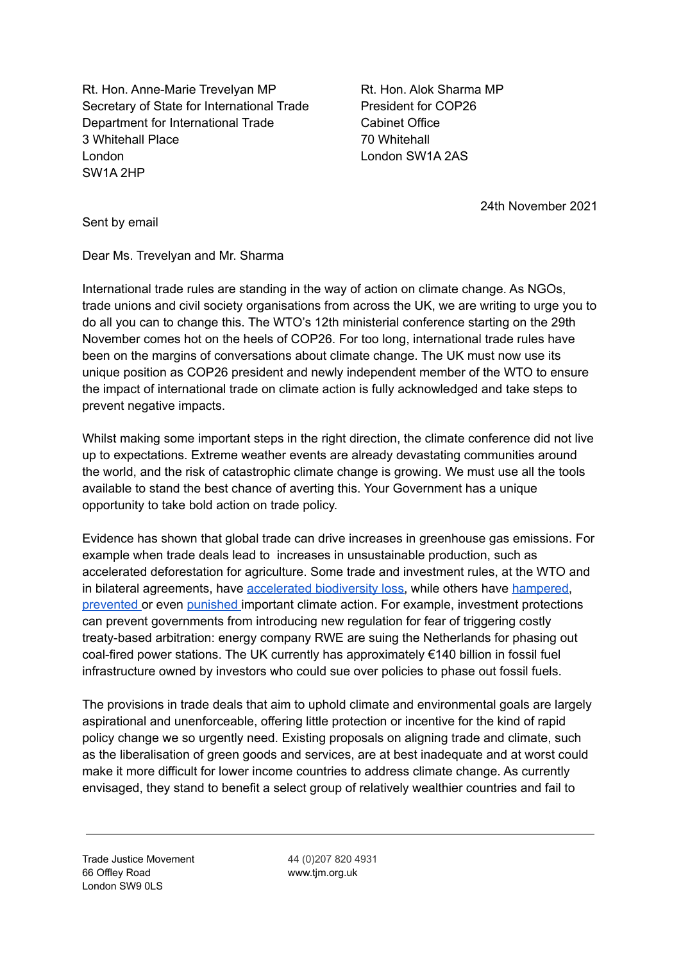Rt. Hon. Anne-Marie Trevelyan MP Secretary of State for International Trade Department for International Trade 3 Whitehall Place London SW1A 2HP

Rt. Hon. Alok Sharma MP President for COP26 Cabinet Office 70 Whitehall London SW1A 2AS

24th November 2021

Sent by email

Dear Ms. Trevelyan and Mr. Sharma

International trade rules are standing in the way of action on climate change. As NGOs, trade unions and civil society organisations from across the UK, we are writing to urge you to do all you can to change this. The WTO's 12th ministerial conference starting on the 29th November comes hot on the heels of COP26. For too long, international trade rules have been on the margins of conversations about climate change. The UK must now use its unique position as COP26 president and newly independent member of the WTO to ensure the impact of international trade on climate action is fully acknowledged and take steps to prevent negative impacts.

Whilst making some important steps in the right direction, the climate conference did not live up to expectations. Extreme weather events are already devastating communities around the world, and the risk of catastrophic climate change is growing. We must use all the tools available to stand the best chance of averting this. Your Government has a unique opportunity to take bold action on trade policy.

Evidence has shown that global trade can drive increases in greenhouse gas emissions. For example when trade deals lead to increases in unsustainable production, such as accelerated deforestation for agriculture. Some trade and investment rules, at the WTO and in bilateral agreements, have [accelerated](https://www.europarl.europa.eu/RegData/etudes/IDAN/2020/603494/EXPO_IDA(2020)603494_EN.pdf) biodiversity loss, while others have [hampered,](https://www.euractiv.com/section/energy/news/not-approprite-uniper-seeks-compensation-for-dutch-coal-phase-out/) [prevented](https://www.iisd.org/gsi/subsidy-watch-blog/renewable-energy-subsidies-and-wto-wrong-law-and-wrong-venue) or even [punished](https://www.whitecase.com/publications/alert/wto-panel-report-india-solar-cells-and-modules) important climate action. For example, investment protections can prevent governments from introducing new regulation for fear of triggering costly treaty-based arbitration: energy company RWE are suing the Netherlands for phasing out coal-fired power stations. The UK currently has approximately  $\epsilon$ 140 billion in fossil fuel infrastructure owned by investors who could sue over policies to phase out fossil fuels.

The provisions in trade deals that aim to uphold climate and environmental goals are largely aspirational and unenforceable, offering little protection or incentive for the kind of rapid policy change we so urgently need. Existing proposals on aligning trade and climate, such as the liberalisation of green goods and services, are at best inadequate and at worst could make it more difficult for lower income countries to address climate change. As currently envisaged, they stand to benefit a select group of relatively wealthier countries and fail to

Trade Justice Movement 44 (0)207 820 4931 66 Offley Road www.tjm.org.uk London SW9 0LS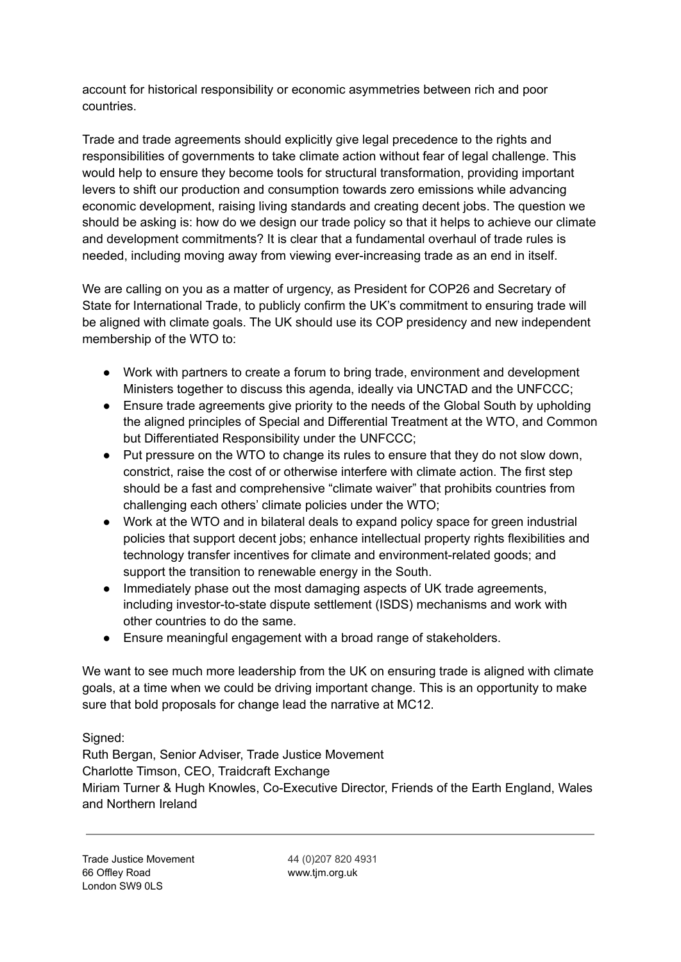account for historical responsibility or economic asymmetries between rich and poor countries.

Trade and trade agreements should explicitly give legal precedence to the rights and responsibilities of governments to take climate action without fear of legal challenge. This would help to ensure they become tools for structural transformation, providing important levers to shift our production and consumption towards zero emissions while advancing economic development, raising living standards and creating decent jobs. The question we should be asking is: how do we design our trade policy so that it helps to achieve our climate and development commitments? It is clear that a fundamental overhaul of trade rules is needed, including moving away from viewing ever-increasing trade as an end in itself.

We are calling on you as a matter of urgency, as President for COP26 and Secretary of State for International Trade, to publicly confirm the UK's commitment to ensuring trade will be aligned with climate goals. The UK should use its COP presidency and new independent membership of the WTO to:

- Work with partners to create a forum to bring trade, environment and development Ministers together to discuss this agenda, ideally via UNCTAD and the UNFCCC;
- Ensure trade agreements give priority to the needs of the Global South by upholding the aligned principles of Special and Differential Treatment at the WTO, and Common but Differentiated Responsibility under the UNFCCC;
- Put pressure on the WTO to change its rules to ensure that they do not slow down, constrict, raise the cost of or otherwise interfere with climate action. The first step should be a fast and comprehensive "climate waiver" that prohibits countries from challenging each others' climate policies under the WTO;
- Work at the WTO and in bilateral deals to expand policy space for green industrial policies that support decent jobs; enhance intellectual property rights flexibilities and technology transfer incentives for climate and environment-related goods; and support the transition to renewable energy in the South.
- Immediately phase out the most damaging aspects of UK trade agreements, including investor-to-state dispute settlement (ISDS) mechanisms and work with other countries to do the same.
- Ensure meaningful engagement with a broad range of stakeholders.

We want to see much more leadership from the UK on ensuring trade is aligned with climate goals, at a time when we could be driving important change. This is an opportunity to make sure that bold proposals for change lead the narrative at MC12.

Signed:

Ruth Bergan, Senior Adviser, Trade Justice Movement Charlotte Timson, CEO, Traidcraft Exchange Miriam Turner & Hugh Knowles, Co-Executive Director, Friends of the Earth England, Wales and Northern Ireland